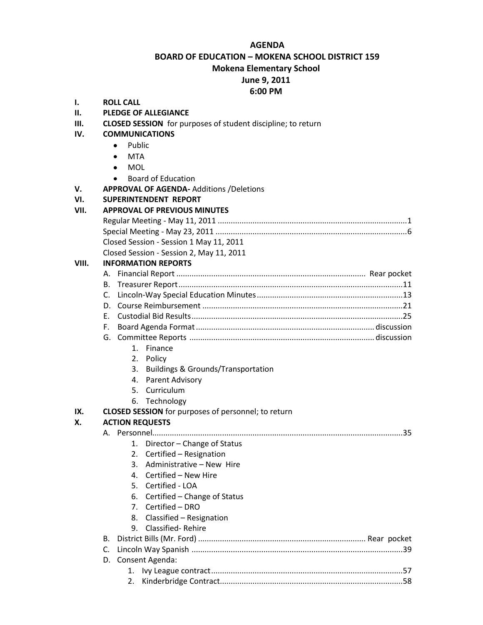#### **AGENDA**

**BOARD OF EDUCATION – MOKENA SCHOOL DISTRICT 159**

**Mokena Elementary School**

# **June 9, 2011**

# **6:00 PM**

- **I. ROLL CALL**
- **II. PLEDGE OF ALLEGIANCE**
- **III. CLOSED SESSION** for purposes of student discipline; to return
- **IV. COMMUNICATIONS**
	- Public  $\bullet$
	- **MTA**
	- $\bullet$ MOL
	- Board of Education  $\bullet$
- **V. APPROVAL OF AGENDA-** Additions /Deletions
- **VI. SUPERINTENDENT REPORT**

#### **VII. APPROVAL OF PREVIOUS MINUTES**

| Closed Session - Session 1 May 11, 2011 |  |
|-----------------------------------------|--|
| مدممين يدعاها المادات                   |  |

Closed Session - Session 2, May 11, 2011

### **VIII. INFORMATION REPORTS**

- G. Committee Reports ..................................................................................... discussion
	- 1. Finance
	- 2. Policy
	- 3. Buildings & Grounds/Transportation
	- 4. Parent Advisory
	- 5. Curriculum
	- 6. Technology

#### **IX. CLOSED SESSION** for purposes of personnel; to return

## **X. ACTION REQUESTS**

#### A. Personnel...................................................................................................................35

- 1. Director Change of Status
- 2. Certified Resignation
- 3. Administrative New Hire
- 4. Certified New Hire
- 5. Certified LOA
- 6. Certified Change of Status
- 7. Certified DRO
- 8. Classified Resignation
- 9. Classified- Rehire

| D. Consent Agenda: |  |  |
|--------------------|--|--|
|                    |  |  |
|                    |  |  |